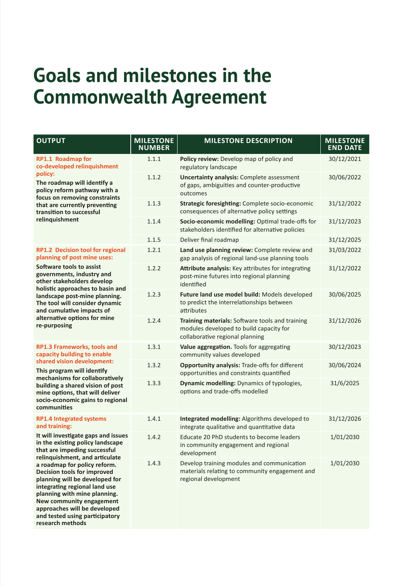## **Goals and milestones in the Commonwealth Agreement**

| <b>OUTPUT</b>                                                                                                                                                                                                                                                                                                                                                                                                                                                                            | <b>MILESTONE</b><br><b>NUMBER</b> | <b>MILESTONE DESCRIPTION</b>                                                                                                  | <b>MILESTONE</b><br><b>END DATE</b> |
|------------------------------------------------------------------------------------------------------------------------------------------------------------------------------------------------------------------------------------------------------------------------------------------------------------------------------------------------------------------------------------------------------------------------------------------------------------------------------------------|-----------------------------------|-------------------------------------------------------------------------------------------------------------------------------|-------------------------------------|
| RP1.1 Roadmap for<br>co-developed relinquishment<br>policy:<br>The roadmap will identify a<br>policy reform pathway with a<br>focus on removing constraints<br>that are currently preventing<br>transition to successful<br>relinquishment                                                                                                                                                                                                                                               | 1.1.1                             | Policy review: Develop map of policy and<br>regulatory landscape                                                              | 30/12/2021                          |
|                                                                                                                                                                                                                                                                                                                                                                                                                                                                                          | 1.1.2                             | <b>Uncertainty analysis: Complete assessment</b><br>of gaps, ambiguities and counter-productive<br>outcomes                   | 30/06/2022                          |
|                                                                                                                                                                                                                                                                                                                                                                                                                                                                                          | 1.1.3                             | Strategic foresighting: Complete socio-economic<br>consequences of alternative policy settings                                | 31/12/2022                          |
|                                                                                                                                                                                                                                                                                                                                                                                                                                                                                          | 1.1.4                             | Socio-economic modelling: Optimal trade-offs for<br>stakeholders identified for alternative policies                          | 31/12/2023                          |
|                                                                                                                                                                                                                                                                                                                                                                                                                                                                                          | 1.1.5                             | Deliver final roadmap                                                                                                         | 31/12/2025                          |
| <b>RP1.2 Decision tool for regional</b><br>planning of post mine uses:<br>Software tools to assist<br>governments, industry and<br>other stakeholders develop<br>holistic approaches to basin and<br>landscape post-mine planning.<br>The tool will consider dynamic<br>and cumulative impacts of<br>alternative options for mine<br>re-purposing                                                                                                                                        | 1.2.1                             | Land use planning review: Complete review and<br>gap analysis of regional land-use planning tools                             | 31/03/2022                          |
|                                                                                                                                                                                                                                                                                                                                                                                                                                                                                          | 1.2.2                             | Attribute analysis: Key attributes for integrating<br>post-mine futures into regional planning<br>identified                  | 31/12/2022                          |
|                                                                                                                                                                                                                                                                                                                                                                                                                                                                                          | 1.2.3                             | Future land use model build: Models developed<br>to predict the interrelationships between<br>attributes                      | 30/06/2025                          |
|                                                                                                                                                                                                                                                                                                                                                                                                                                                                                          | 1.2.4                             | Training materials: Software tools and training<br>modules developed to build capacity for<br>collaborative regional planning | 31/12/2026                          |
| RP1.3 Frameworks, tools and<br>capacity building to enable<br>shared vision development:<br>This program will identify<br>mechanisms for collaboratively<br>building a shared vision of post<br>mine options, that will deliver<br>socio-economic gains to regional<br>communities                                                                                                                                                                                                       | 1.3.1                             | Value aggregation. Tools for aggregating<br>community values developed                                                        | 30/12/2023                          |
|                                                                                                                                                                                                                                                                                                                                                                                                                                                                                          | 1.3.2                             | <b>Opportunity analysis: Trade-offs for different</b><br>opportunities and constraints quantified                             | 30/06/2024                          |
|                                                                                                                                                                                                                                                                                                                                                                                                                                                                                          | 1.3.3                             | Dynamic modelling: Dynamics of typologies,<br>options and trade-offs modelled                                                 | 31/6/2025                           |
| <b>RP1.4 Integrated systems</b><br>and training:<br>It will investigate gaps and issues<br>in the existing policy landscape<br>that are impeding successful<br>relinquishment, and articulate<br>a roadmap for policy reform.<br><b>Decision tools for improved</b><br>planning will be developed for<br>integrating regional land use<br>planning with mine planning.<br>New community engagement<br>approaches will be developed<br>and tested using participatory<br>research methods | 1.4.1                             | Integrated modelling: Algorithms developed to<br>integrate qualitative and quantitative data                                  | 31/12/2026                          |
|                                                                                                                                                                                                                                                                                                                                                                                                                                                                                          | 1.4.2                             | Educate 20 PhD students to become leaders<br>in community engagement and regional<br>development                              | 1/01/2030                           |
|                                                                                                                                                                                                                                                                                                                                                                                                                                                                                          | 1.4.3                             | Develop training modules and communication<br>materials relating to community engagement and<br>regional development          | 1/01/2030                           |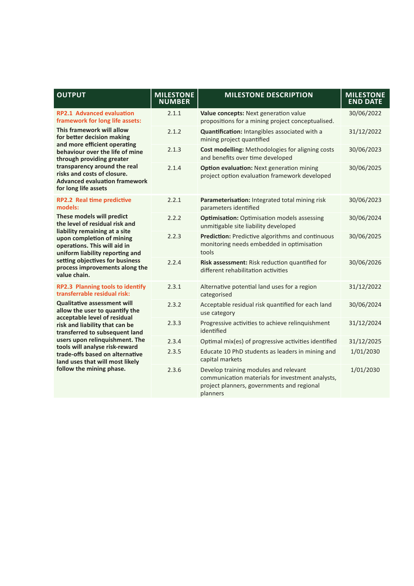| <b>OUTPUT</b>                                                                                                                                                                                                                                                                                                                                                                                                             | <b>MILESTONE</b><br><b>NUMBER</b> | <b>MILESTONE DESCRIPTION</b>                                                                                                                        | <b>MILESTONE</b><br><b>END DATE</b> |
|---------------------------------------------------------------------------------------------------------------------------------------------------------------------------------------------------------------------------------------------------------------------------------------------------------------------------------------------------------------------------------------------------------------------------|-----------------------------------|-----------------------------------------------------------------------------------------------------------------------------------------------------|-------------------------------------|
| <b>RP2.1 Advanced evaluation</b><br>framework for long life assets:<br>This framework will allow<br>for better decision making<br>and more efficient operating<br>behaviour over the life of mine<br>through providing greater<br>transparency around the real<br>risks and costs of closure.<br><b>Advanced evaluation framework</b><br>for long life assets                                                             | 2.1.1                             | Value concepts: Next generation value<br>propositions for a mining project conceptualised.                                                          | 30/06/2022                          |
|                                                                                                                                                                                                                                                                                                                                                                                                                           | 2.1.2                             | Quantification: Intangibles associated with a<br>mining project quantified                                                                          | 31/12/2022                          |
|                                                                                                                                                                                                                                                                                                                                                                                                                           | 2.1.3                             | Cost modelling: Methodologies for aligning costs<br>and benefits over time developed                                                                | 30/06/2023                          |
|                                                                                                                                                                                                                                                                                                                                                                                                                           | 2.1.4                             | Option evaluation: Next generation mining<br>project option evaluation framework developed                                                          | 30/06/2025                          |
| <b>RP2.2 Real time predictive</b><br>models:<br>These models will predict<br>the level of residual risk and<br>liability remaining at a site<br>upon completion of mining<br>operations. This will aid in<br>uniform liability reporting and<br>setting objectives for business<br>process improvements along the<br>value chain.                                                                                         | 2.2.1                             | Parameterisation: Integrated total mining risk<br>parameters identified                                                                             | 30/06/2023                          |
|                                                                                                                                                                                                                                                                                                                                                                                                                           | 2.2.2                             | <b>Optimisation:</b> Optimisation models assessing<br>unmitigable site liability developed                                                          | 30/06/2024                          |
|                                                                                                                                                                                                                                                                                                                                                                                                                           | 2.2.3                             | Prediction: Predictive algorithms and continuous<br>monitoring needs embedded in optimisation<br>tools                                              | 30/06/2025                          |
|                                                                                                                                                                                                                                                                                                                                                                                                                           | 2.2.4                             | Risk assessment: Risk reduction quantified for<br>different rehabilitation activities                                                               | 30/06/2026                          |
| <b>RP2.3 Planning tools to identify</b><br>transferrable residual risk:<br><b>Qualitative assessment will</b><br>allow the user to quantify the<br>acceptable level of residual<br>risk and liability that can be<br>transferred to subsequent land<br>users upon relinquishment. The<br>tools will analyse risk-reward<br>trade-offs based on alternative<br>land uses that will most likely<br>follow the mining phase. | 2.3.1                             | Alternative potential land uses for a region<br>categorised                                                                                         | 31/12/2022                          |
|                                                                                                                                                                                                                                                                                                                                                                                                                           | 2.3.2                             | Acceptable residual risk quantified for each land<br>use category                                                                                   | 30/06/2024                          |
|                                                                                                                                                                                                                                                                                                                                                                                                                           | 2.3.3                             | Progressive activities to achieve relinquishment<br>identified                                                                                      | 31/12/2024                          |
|                                                                                                                                                                                                                                                                                                                                                                                                                           | 2.3.4                             | Optimal mix(es) of progressive activities identified                                                                                                | 31/12/2025                          |
|                                                                                                                                                                                                                                                                                                                                                                                                                           | 2.3.5                             | Educate 10 PhD students as leaders in mining and<br>capital markets                                                                                 | 1/01/2030                           |
|                                                                                                                                                                                                                                                                                                                                                                                                                           | 2.3.6                             | Develop training modules and relevant<br>communication materials for investment analysts,<br>project planners, governments and regional<br>planners | 1/01/2030                           |